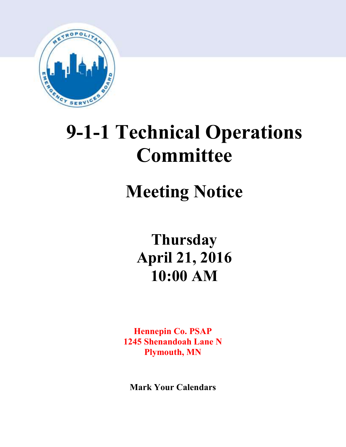

# **9-1-1 Technical Operations Committee**

## **Meeting Notice**

**Thursday April 21, 2016 10:00 AM**

**Hennepin Co. PSAP 1245 Shenandoah Lane N Plymouth, MN**

**Mark Your Calendars**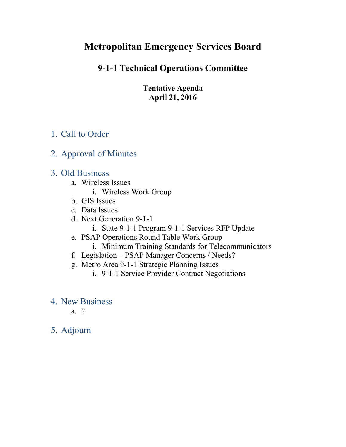## **Metropolitan Emergency Services Board**

## **9-1-1 Technical Operations Committee**

**Tentative Agenda April 21, 2016**

## 1. Call to Order

## 2. Approval of Minutes

## 3. Old Business

- a. Wireless Issues
	- i. Wireless Work Group
- b. GIS Issues
- c. Data Issues
- d. Next Generation 9-1-1
	- i. State 9-1-1 Program 9-1-1 Services RFP Update
- e. PSAP Operations Round Table Work Group
	- i. Minimum Training Standards for Telecommunicators
- f. Legislation PSAP Manager Concerns / Needs?
- g. Metro Area 9-1-1 Strategic Planning Issues
	- i. 9-1-1 Service Provider Contract Negotiations
- 4. New Business
	- a. ?
- 5. Adjourn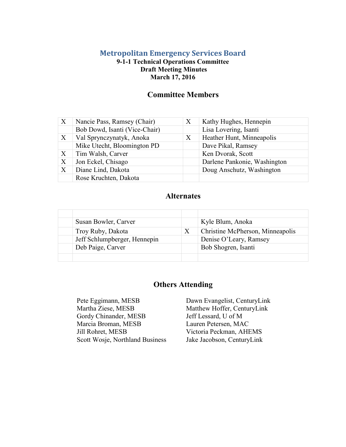#### **Metropolitan Emergency Services Board**

#### **9-1-1 Technical Operations Committee Draft Meeting Minutes March 17, 2016**

#### **Committee Members**

| X                | Nancie Pass, Ramsey (Chair)   | X | Kathy Hughes, Hennepin       |  |  |
|------------------|-------------------------------|---|------------------------------|--|--|
|                  | Bob Dowd, Isanti (Vice-Chair) |   | Lisa Lovering, Isanti        |  |  |
| $\boldsymbol{X}$ | Val Sprynczynatyk, Anoka      | X | Heather Hunt, Minneapolis    |  |  |
|                  | Mike Utecht, Bloomington PD   |   | Dave Pikal, Ramsey           |  |  |
| X                | Tim Walsh, Carver             |   | Ken Dvorak, Scott            |  |  |
| X                | Jon Eckel, Chisago            |   | Darlene Pankonie, Washington |  |  |
| X                | Diane Lind, Dakota            |   | Doug Anschutz, Washington    |  |  |
|                  | Rose Kruchten, Dakota         |   |                              |  |  |

#### **Alternates**

| Susan Bowler, Carver         |   | Kyle Blum, Anoka                 |
|------------------------------|---|----------------------------------|
| Troy Ruby, Dakota            | X | Christine McPherson, Minneapolis |
| Jeff Schlumpberger, Hennepin |   | Denise O'Leary, Ramsey           |
| Deb Paige, Carver            |   | Bob Shogren, Isanti              |
|                              |   |                                  |

#### **Others Attending**

Pete Eggimann, MESB Dawn Evangelist, CenturyLink<br>Martha Ziese, MESB Matthew Hoffer, CenturyLink Gordy Chinander, MESB Marcia Broman, MESB Jill Rohret, MESB Scott Wosje, Northland Business

Matthew Hoffer, CenturyLink Jeff Lessard, U of M Lauren Petersen, MAC Victoria Peckman, AHEMS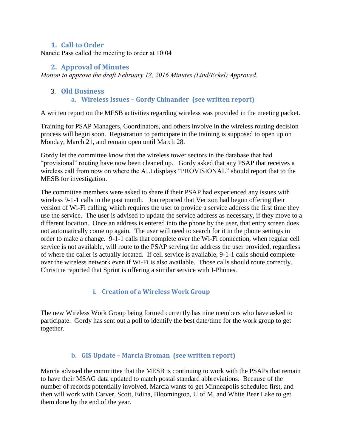#### **1. Call to Order**

Nancie Pass called the meeting to order at 10:04

#### **2. Approval of Minutes**

*Motion to approve the draft February 18, 2016 Minutes (Lind/Eckel) Approved.* 

## 3. **Old Business**

#### **a. Wireless Issues – Gordy Chinander (see written report)**

A written report on the MESB activities regarding wireless was provided in the meeting packet.

Training for PSAP Managers, Coordinators, and others involve in the wireless routing decision process will begin soon. Registration to participate in the training is supposed to open up on Monday, March 21, and remain open until March 28.

Gordy let the committee know that the wireless tower sectors in the database that had "provisional" routing have now been cleaned up. Gordy asked that any PSAP that receives a wireless call from now on where the ALI displays "PROVISIONAL" should report that to the MESB for investigation.

The committee members were asked to share if their PSAP had experienced any issues with wireless 9-1-1 calls in the past month. Jon reported that Verizon had begun offering their version of Wi-Fi calling, which requires the user to provide a service address the first time they use the service. The user is advised to update the service address as necessary, if they move to a different location. Once an address is entered into the phone by the user, that entry screen does not automatically come up again. The user will need to search for it in the phone settings in order to make a change. 9-1-1 calls that complete over the Wi-Fi connection, when regular cell service is not available, will route to the PSAP serving the address the user provided, regardless of where the caller is actually located. If cell service is available, 9-1-1 calls should complete over the wireless network even if Wi-Fi is also available. Those calls should route correctly. Christine reported that Sprint is offering a similar service with I-Phones.

#### **i. Creation of a Wireless Work Group**

The new Wireless Work Group being formed currently has nine members who have asked to participate. Gordy has sent out a poll to identify the best date/time for the work group to get together.

#### **b. GIS Update – Marcia Broman (see written report)**

Marcia advised the committee that the MESB is continuing to work with the PSAPs that remain to have their MSAG data updated to match postal standard abbreviations. Because of the number of records potentially involved, Marcia wants to get Minneapolis scheduled first, and then will work with Carver, Scott, Edina, Bloomington, U of M, and White Bear Lake to get them done by the end of the year.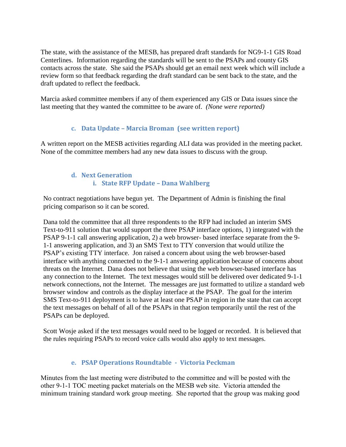The state, with the assistance of the MESB, has prepared draft standards for NG9-1-1 GIS Road Centerlines. Information regarding the standards will be sent to the PSAPs and county GIS contacts across the state. She said the PSAPs should get an email next week which will include a review form so that feedback regarding the draft standard can be sent back to the state, and the draft updated to reflect the feedback.

Marcia asked committee members if any of them experienced any GIS or Data issues since the last meeting that they wanted the committee to be aware of. *(None were reported)*

#### **c. Data Update – Marcia Broman (see written report)**

A written report on the MESB activities regarding ALI data was provided in the meeting packet. None of the committee members had any new data issues to discuss with the group.

#### **d. Next Generation i. State RFP Update – Dana Wahlberg**

No contract negotiations have begun yet. The Department of Admin is finishing the final pricing comparison so it can be scored.

Dana told the committee that all three respondents to the RFP had included an interim SMS Text-to-911 solution that would support the three PSAP interface options, 1) integrated with the PSAP 9-1-1 call answering application, 2) a web browser- based interface separate from the 9- 1-1 answering application, and 3) an SMS Text to TTY conversion that would utilize the PSAP's existing TTY interface. Jon raised a concern about using the web browser-based interface with anything connected to the 9-1-1 answering application because of concerns about threats on the Internet. Dana does not believe that using the web browser-based interface has any connection to the Internet. The text messages would still be delivered over dedicated 9-1-1 network connections, not the Internet. The messages are just formatted to utilize a standard web browser window and controls as the display interface at the PSAP. The goal for the interim SMS Text-to-911 deployment is to have at least one PSAP in region in the state that can accept the text messages on behalf of all of the PSAPs in that region temporarily until the rest of the PSAPs can be deployed.

Scott Wosje asked if the text messages would need to be logged or recorded. It is believed that the rules requiring PSAPs to record voice calls would also apply to text messages.

#### **e. PSAP Operations Roundtable - Victoria Peckman**

Minutes from the last meeting were distributed to the committee and will be posted with the other 9-1-1 TOC meeting packet materials on the MESB web site. Victoria attended the minimum training standard work group meeting. She reported that the group was making good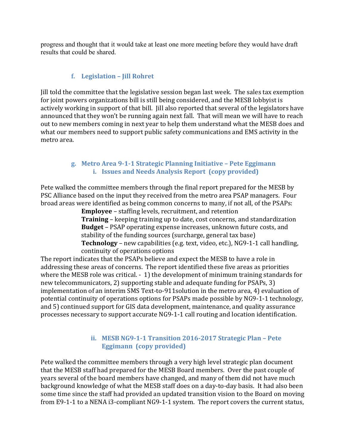progress and thought that it would take at least one more meeting before they would have draft results that could be shared.

#### **f. Legislation – Jill Rohret**

Jill told the committee that the legislative session began last week. The sales tax exemption for joint powers organizations bill is still being considered, and the MESB lobbyist is actively working in support of that bill. Jill also reported that several of the legislators have announced that they won't be running again next fall. That will mean we will have to reach out to new members coming in next year to help them understand what the MESB does and what our members need to support public safety communications and EMS activity in the metro area.

#### **g. Metro Area 9-1-1 Strategic Planning Initiative – Pete Eggimann i. Issues and Needs Analysis Report (copy provided)**

Pete walked the committee members through the final report prepared for the MESB by PSC Alliance based on the input they received from the metro area PSAP managers. Four broad areas were identified as being common concerns to many, if not all, of the PSAPs:

**Employee** – staffing levels, recruitment, and retention **Training** – keeping training up to date, cost concerns, and standardization **Budget** – PSAP operating expense increases, unknown future costs, and stability of the funding sources (surcharge, general tax base) **Technology** – new capabilities (e.g. text, video, etc.), NG9-1-1 call handling, continuity of operations options

The report indicates that the PSAPs believe and expect the MESB to have a role in addressing these areas of concerns. The report identified these five areas as priorities where the MESB role was critical. - 1) the development of minimum training standards for new telecommunicators, 2) supporting stable and adequate funding for PSAPs, 3) implementation of an interim SMS Text-to-911solution in the metro area, 4) evaluation of potential continuity of operations options for PSAPs made possible by NG9-1-1 technology, and 5) continued support for GIS data development, maintenance, and quality assurance processes necessary to support accurate NG9-1-1 call routing and location identification.

#### **ii. MESB NG9-1-1 Transition 2016-2017 Strategic Plan – Pete Eggimann (copy provided)**

Pete walked the committee members through a very high level strategic plan document that the MESB staff had prepared for the MESB Board members. Over the past couple of years several of the board members have changed, and many of them did not have much background knowledge of what the MESB staff does on a day-to-day basis. It had also been some time since the staff had provided an updated transition vision to the Board on moving from E9-1-1 to a NENA i3-compliant NG9-1-1 system. The report covers the current status,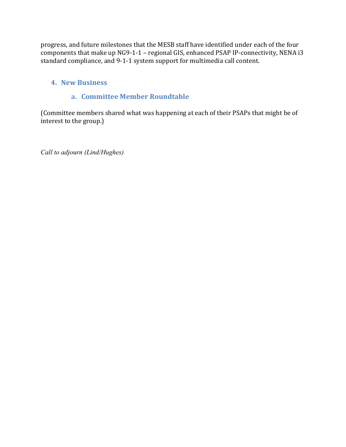progress, and future milestones that the MESB staff have identified under each of the four components that make up NG9-1-1 – regional GIS, enhanced PSAP IP-connectivity, NENA i3 standard compliance, and 9-1-1 system support for multimedia call content.

#### **4. New Business**

#### **a. Committee Member Roundtable**

(Committee members shared what was happening at each of their PSAPs that might be of interest to the group.)

*Call to adjourn (Lind/Hughes)*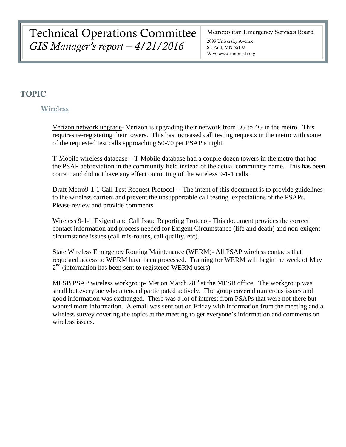Technical Operations Committee *GIS Manager's report – 4/21/2016*

Metropolitan Emergency Services Board

2099 University Avenue St. Paul, MN 55102 Web: www.mn-mesb.org

#### TOPIC

#### **Wireless**

Verizon network upgrade- Verizon is upgrading their network from 3G to 4G in the metro. This requires re-registering their towers. This has increased call testing requests in the metro with some of the requested test calls approaching 50-70 per PSAP a night.

T-Mobile wireless database – T-Mobile database had a couple dozen towers in the metro that had the PSAP abbreviation in the community field instead of the actual community name. This has been correct and did not have any effect on routing of the wireless 9-1-1 calls.

Draft Metro9-1-1 Call Test Request Protocol – The intent of this document is to provide guidelines to the wireless carriers and prevent the unsupportable call testing expectations of the PSAPs. Please review and provide comments

Wireless 9-1-1 Exigent and Call Issue Reporting Protocol- This document provides the correct contact information and process needed for Exigent Circumstance (life and death) and non-exigent circumstance issues (call mis-routes, call quality, etc).

State Wireless Emergency Routing Maintenance (WERM)- All PSAP wireless contacts that requested access to WERM have been processed. Training for WERM will begin the week of May  $2<sup>nd</sup>$  (information has been sent to registered WERM users)

MESB PSAP wireless workgroup- Met on March  $28<sup>th</sup>$  at the MESB office. The workgroup was small but everyone who attended participated actively. The group covered numerous issues and good information was exchanged. There was a lot of interest from PSAPs that were not there but wanted more information. A email was sent out on Friday with information from the meeting and a wireless survey covering the topics at the meeting to get everyone's information and comments on wireless issues.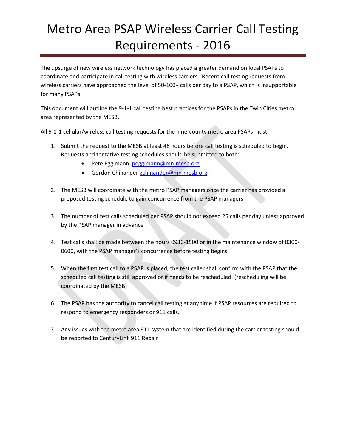## Metro Area PSAP Wireless Carrier Call Testing Requirements - 2016

The upsurge of new wireless network technology has placed a greater demand on local PSAPs to coordinate and participate in call testing with wireless carriers. Recent call testing requests from wireless carriers have approached the level of 50-100+ calls per day to a PSAP, which is insupportable for many PSAPs.

This document will outline the 9-1-1 call testing best practices for the PSAPs in the Twin Cities metro area represented by the MESB.

All 9-1-1 cellular/wireless call testing requests for the nine-county metro area PSAPs must:

- 1. Submit the request to the MESB at least 48 hours before call testing is scheduled to begin. Requests and tentative testing schedules should be submitted to both:
	- Pete Eggimann [peggimann@mn-mesb.org](mailto:peggimann@mn-mesb.org)
	- Gordon Chinander [gchinander@mn-mesb.org](mailto:gchinander@mn-mesb.org)
- 2. The MESB will coordinate with the metro PSAP managers once the carrier has provided a proposed testing schedule to gain concurrence from the PSAP managers
- 3. The number of test calls scheduled per PSAP should not exceed 25 calls per day unless approved by the PSAP manager in advance
- 4. Test calls shall be made between the hours 0930-1500 or in the maintenance window of 0300- 0600, with the PSAP manager's concurrence before testing begins.
- 5. When the first test call to a PSAP is placed, the test caller shall confirm with the PSAP that the scheduled call testing is still approved or if needs to be rescheduled. (rescheduling will be coordinated by the MESB)
- 6. The PSAP has the authority to cancel call testing at any time if PSAP resources are required to respond to emergency responders or 911 calls.
- 7. Any issues with the metro area 911 system that are identified during the carrier testing should be reported to CenturyLink 911 Repair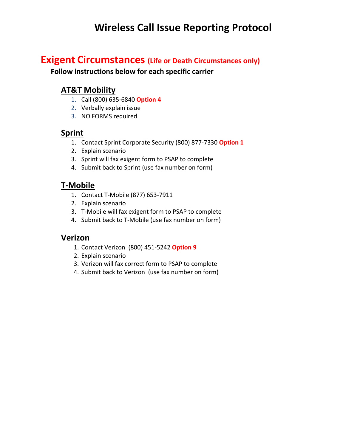## **Wireless Call Issue Reporting Protocol**

## **Exigent Circumstances (Life or Death Circumstances only)**

**Follow instructions below for each specific carrier**

## **AT&T Mobility**

- 1. Call (800) 635-6840 **Option 4**
- 2. Verbally explain issue
- 3. NO FORMS required

### **Sprint**

- 1. Contact Sprint Corporate Security (800) 877-7330 **Option 1**
- 2. Explain scenario
- 3. Sprint will fax exigent form to PSAP to complete
- 4. Submit back to Sprint (use fax number on form)

## **T-Mobile**

- 1. Contact T-Mobile (877) 653-7911
- 2. Explain scenario
- 3. T-Mobile will fax exigent form to PSAP to complete
- 4. Submit back to T-Mobile (use fax number on form)

#### **Verizon**

- 1. Contact Verizon (800) 451-5242 **Option 9**
- 2. Explain scenario
- 3. Verizon will fax correct form to PSAP to complete
- 4. Submit back to Verizon (use fax number on form)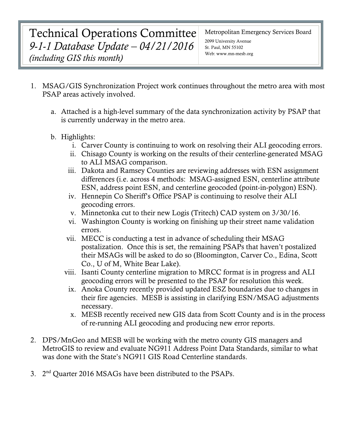## Technical Operations Committee *9-1-1 Database Update – 04/21/2016 (including GIS this month)*

Metropolitan Emergency Services Board

2099 University Avenue St. Paul, MN 55102 Web: www.mn-mesb.org

- 1. MSAG/GIS Synchronization Project work continues throughout the metro area with most PSAP areas actively involved.
	- a. Attached is a high-level summary of the data synchronization activity by PSAP that is currently underway in the metro area.
	- b. Highlights:
		- i. Carver County is continuing to work on resolving their ALI geocoding errors.
		- ii. Chisago County is working on the results of their centerline-generated MSAG to ALI MSAG comparison.
		- iii. Dakota and Ramsey Counties are reviewing addresses with ESN assignment differences (i.e. across 4 methods: MSAG-assigned ESN, centerline attribute ESN, address point ESN, and centerline geocoded (point-in-polygon) ESN).
		- iv. Hennepin Co Sheriff's Office PSAP is continuing to resolve their ALI geocoding errors.
		- v. Minnetonka cut to their new Logis (Tritech) CAD system on 3/30/16.
		- vi. Washington County is working on finishing up their street name validation errors.
		- vii. MECC is conducting a test in advance of scheduling their MSAG postalization. Once this is set, the remaining PSAPs that haven't postalized their MSAGs will be asked to do so (Bloomington, Carver Co., Edina, Scott Co., U of M, White Bear Lake).
		- viii. Isanti County centerline migration to MRCC format is in progress and ALI geocoding errors will be presented to the PSAP for resolution this week.
			- ix. Anoka County recently provided updated ESZ boundaries due to changes in their fire agencies. MESB is assisting in clarifying ESN/MSAG adjustments necessary.
			- x. MESB recently received new GIS data from Scott County and is in the process of re-running ALI geocoding and producing new error reports.
- 2. DPS/MnGeo and MESB will be working with the metro county GIS managers and MetroGIS to review and evaluate NG911 Address Point Data Standards, similar to what was done with the State's NG911 GIS Road Centerline standards.
- 3. 2nd Quarter 2016 MSAGs have been distributed to the PSAPs.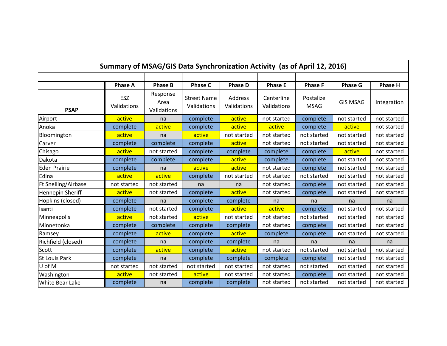| Summary of MSAG/GIS Data Synchronization Activity (as of April 12, 2016) |                    |                                 |                                   |                        |                           |                          |                 |                |  |  |  |  |
|--------------------------------------------------------------------------|--------------------|---------------------------------|-----------------------------------|------------------------|---------------------------|--------------------------|-----------------|----------------|--|--|--|--|
|                                                                          |                    |                                 |                                   |                        |                           |                          |                 |                |  |  |  |  |
|                                                                          | <b>Phase A</b>     | <b>Phase B</b>                  | <b>Phase C</b>                    | <b>Phase D</b>         | <b>Phase E</b>            | <b>Phase F</b>           | <b>Phase G</b>  | <b>Phase H</b> |  |  |  |  |
| <b>PSAP</b>                                                              | ESZ<br>Validations | Response<br>Area<br>Validations | <b>Street Name</b><br>Validations | Address<br>Validations | Centerline<br>Validations | Postalize<br><b>MSAG</b> | <b>GIS MSAG</b> | Integration    |  |  |  |  |
| Airport                                                                  | active             | na                              | complete                          | active                 | not started               | complete                 | not started     | not started    |  |  |  |  |
| Anoka                                                                    | complete           | active                          | complete                          | active                 | active                    | complete                 | active          | not started    |  |  |  |  |
| Bloomington                                                              | active             | na                              | active                            | not started            | not started               | not started              | not started     | not started    |  |  |  |  |
| Carver                                                                   | complete           | complete                        | complete                          | active                 | not started               | not started              | not started     | not started    |  |  |  |  |
| Chisago                                                                  | active             | not started                     | complete                          | complete               | complete                  | complete                 | active          | not started    |  |  |  |  |
| Dakota                                                                   | complete           | complete                        | complete                          | active                 | complete                  | complete                 | not started     | not started    |  |  |  |  |
| <b>Eden Prairie</b>                                                      | complete           | na                              | active                            | active                 | not started               | complete                 | not started     | not started    |  |  |  |  |
| Edina                                                                    | active             | active                          | complete                          | not started            | not started               | not started              | not started     | not started    |  |  |  |  |
| Ft Snelling/Airbase                                                      | not started        | not started                     | na                                | na                     | not started               | complete                 | not started     | not started    |  |  |  |  |
| Hennepin Sheriff                                                         | active             | not started                     | complete                          | active                 | not started               | complete                 | not started     | not started    |  |  |  |  |
| Hopkins (closed)                                                         | complete           | na                              | complete                          | complete               | na                        | na                       | na              | na             |  |  |  |  |
| Isanti                                                                   | complete           | not started                     | complete                          | active                 | active                    | complete                 | not started     | not started    |  |  |  |  |
| Minneapolis                                                              | active             | not started                     | active                            | not started            | not started               | not started              | not started     | not started    |  |  |  |  |
| Minnetonka                                                               | complete           | complete                        | complete                          | complete               | not started               | complete                 | not started     | not started    |  |  |  |  |
| Ramsey                                                                   | complete           | active                          | complete                          | active                 | complete                  | complete                 | not started     | not started    |  |  |  |  |
| Richfield (closed)                                                       | complete           | na                              | complete                          | complete               | na                        | na                       | na              | na             |  |  |  |  |
| Scott                                                                    | complete           | active                          | complete                          | active                 | not started               | not started              | not started     | not started    |  |  |  |  |
| <b>St Louis Park</b>                                                     | complete           | na                              | complete                          | complete               | complete                  | complete                 | not started     | not started    |  |  |  |  |
| U of M                                                                   | not started        | not started                     | not started                       | not started            | not started               | not started              | not started     | not started    |  |  |  |  |
| Washington                                                               | active             | not started                     | active                            | not started            | not started               | complete                 | not started     | not started    |  |  |  |  |
| <b>White Bear Lake</b>                                                   | complete           | na                              | complete                          | complete               | not started               | not started              | not started     | not started    |  |  |  |  |